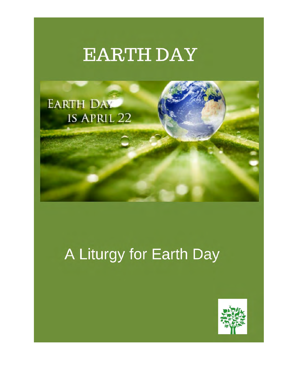# **EARTH DAY**



## A Liturgy for Earth Day

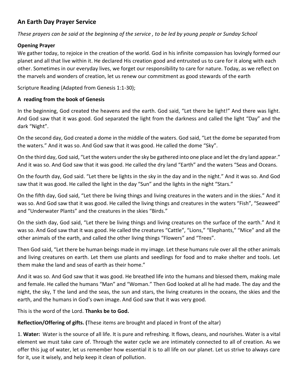### **An Earth Day Prayer Service**

*These prayers can be said at the beginning of the service , to be led by young people or Sunday School* 

#### **Opening Prayer**

We gather today, to rejoice in the creation of the world. God in his infinite compassion has lovingly formed our planet and all that live within it. He declared His creation good and entrusted us to care for it along with each other. Sometimes in our everyday lives, we forget our responsibility to care for nature. Today, as we reflect on the marvels and wonders of creation, let us renew our commitment as good stewards of the earth

Scripture Reading (Adapted from Genesis 1:1-30);

#### **A reading from the book of Genesis**

In the beginning, God created the heavens and the earth. God said, "Let there be light!" And there was light. And God saw that it was good. God separated the light from the darkness and called the light "Day" and the dark "Night".

On the second day, God created a dome in the middle of the waters. God said, "Let the dome be separated from the waters." And it was so. And God saw that it was good. He called the dome "Sky".

On the third day, God said, "Let the waters under the sky be gathered into one place and let the dry land appear." And it was so. And God saw that it was good. He called the dry land "Earth" and the waters "Seas and Oceans.

On the fourth day, God said. "Let there be lights in the sky in the day and in the night." And it was so. And God saw that it was good. He called the light in the day "Sun" and the lights in the night "Stars."

On the fifth day, God said, "Let there be living things and living creatures in the waters and in the skies." And it was so. And God saw that it was good. He called the living things and creatures in the waters "Fish", "Seaweed" and "Underwater Plants" and the creatures in the skies "Birds."

On the sixth day, God said, "Let there be living things and living creatures on the surface of the earth." And it was so. And God saw that it was good. He called the creatures "Cattle", "Lions," "Elephants," "Mice" and all the other animals of the earth, and called the other living things "Flowers" and "Trees".

Then God said, "Let there be human beings made in my image. Let these humans rule over all the other animals and living creatures on earth. Let them use plants and seedlings for food and to make shelter and tools. Let them make the land and seas of earth as their home."

And it was so. And God saw that it was good. He breathed life into the humans and blessed them, making male and female. He called the humans "Man" and "Woman." Then God looked at all he had made. The day and the night, the sky, T the land and the seas, the sun and stars, the living creatures in the oceans, the skies and the earth, and the humans in God's own image. And God saw that it was very good.

This is the word of the Lord. **Thanks be to God.**

**Reflection/Offering of gifts. (**These items are brought and placed in front of the altar)

1. **Water:** Water is the source of all life. It is pure and refreshing. It flows, cleans, and nourishes. Water is a vital element we must take care of. Through the water cycle we are intimately connected to all of creation. As we offer this jug of water, let us remember how essential it is to all life on our planet. Let us strive to always care for it, use it wisely, and help keep it clean of pollution.